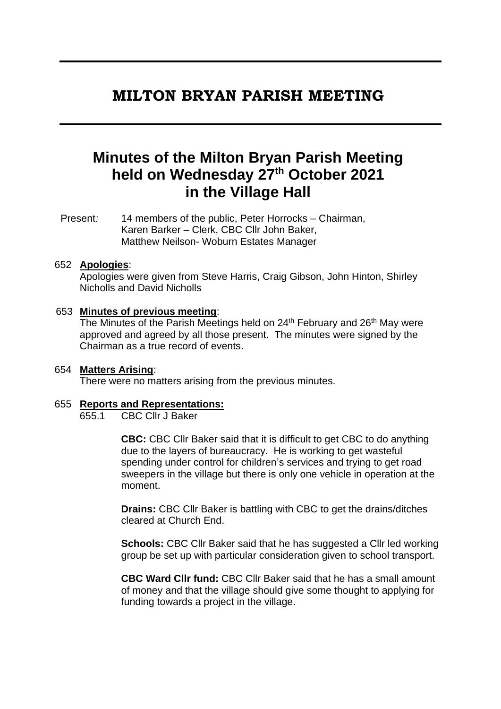## **MILTON BRYAN PARISH MEETING**

## **Minutes of the Milton Bryan Parish Meeting held on Wednesday 27th October 2021 in the Village Hall**

Present*:* 14 members of the public, Peter Horrocks – Chairman, Karen Barker – Clerk, CBC Cllr John Baker, Matthew Neilson- Woburn Estates Manager

#### 652 **Apologies**:

Apologies were given from Steve Harris, Craig Gibson, John Hinton, Shirley Nicholls and David Nicholls

### 653 **Minutes of previous meeting**:

The Minutes of the Parish Meetings held on 24<sup>th</sup> February and 26<sup>th</sup> May were approved and agreed by all those present. The minutes were signed by the Chairman as a true record of events.

#### 654 **Matters Arising**:

There were no matters arising from the previous minutes.

# 655 **Reports and Representations:**

655.1 CBC Cllr J Baker

**CBC:** CBC Cllr Baker said that it is difficult to get CBC to do anything due to the layers of bureaucracy. He is working to get wasteful spending under control for children's services and trying to get road sweepers in the village but there is only one vehicle in operation at the moment.

**Drains:** CBC Cllr Baker is battling with CBC to get the drains/ditches cleared at Church End.

**Schools:** CBC Cllr Baker said that he has suggested a Cllr led working group be set up with particular consideration given to school transport.

**CBC Ward Cllr fund:** CBC Cllr Baker said that he has a small amount of money and that the village should give some thought to applying for funding towards a project in the village.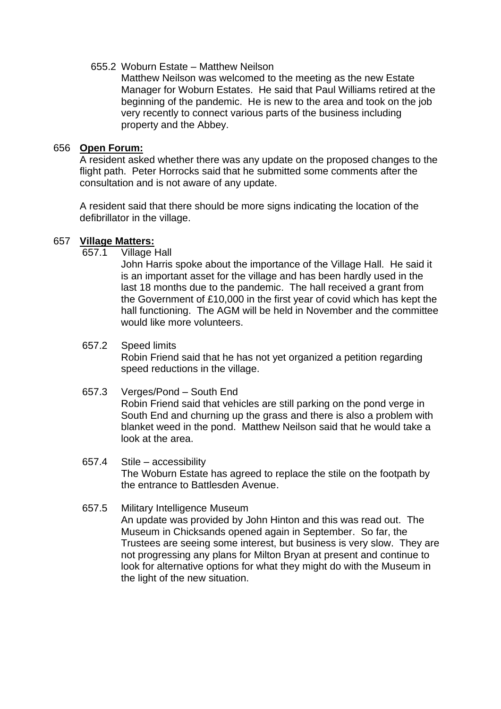#### 655.2 Woburn Estate – Matthew Neilson

Matthew Neilson was welcomed to the meeting as the new Estate Manager for Woburn Estates. He said that Paul Williams retired at the beginning of the pandemic. He is new to the area and took on the job very recently to connect various parts of the business including property and the Abbey.

### 656 **Open Forum:**

A resident asked whether there was any update on the proposed changes to the flight path. Peter Horrocks said that he submitted some comments after the consultation and is not aware of any update.

A resident said that there should be more signs indicating the location of the defibrillator in the village.

#### 657 **Village Matters:**

657.1 Village Hall

John Harris spoke about the importance of the Village Hall. He said it is an important asset for the village and has been hardly used in the last 18 months due to the pandemic. The hall received a grant from the Government of £10,000 in the first year of covid which has kept the hall functioning. The AGM will be held in November and the committee would like more volunteers.

#### 657.2 Speed limits

Robin Friend said that he has not yet organized a petition regarding speed reductions in the village.

657.3 Verges/Pond – South End

Robin Friend said that vehicles are still parking on the pond verge in South End and churning up the grass and there is also a problem with blanket weed in the pond. Matthew Neilson said that he would take a look at the area.

#### 657.4 Stile – accessibility The Woburn Estate has agreed to replace the stile on the footpath by the entrance to Battlesden Avenue.

## 657.5 Military Intelligence Museum

An update was provided by John Hinton and this was read out. The Museum in Chicksands opened again in September. So far, the Trustees are seeing some interest, but business is very slow. They are not progressing any plans for Milton Bryan at present and continue to look for alternative options for what they might do with the Museum in the light of the new situation.